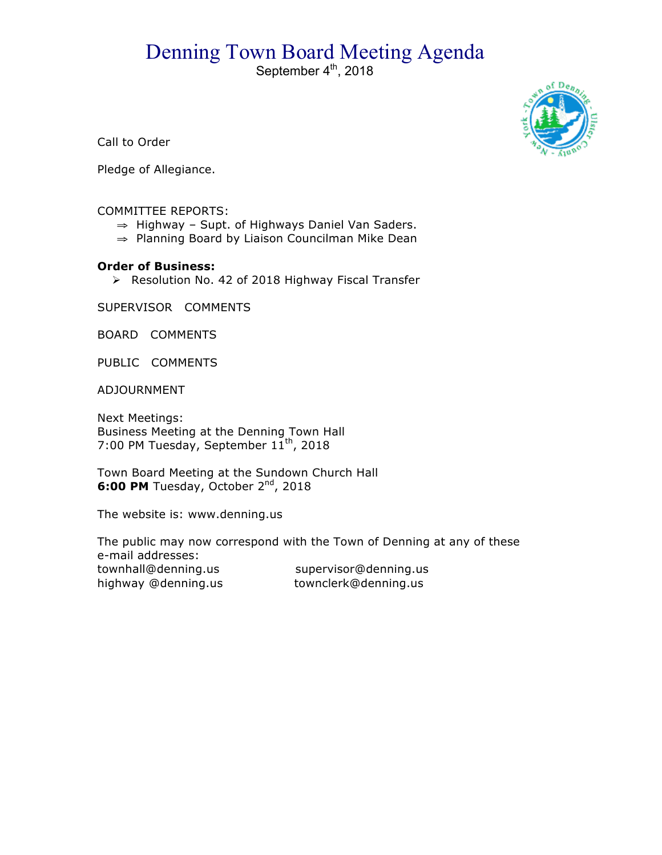## Denning Town Board Meeting Agenda<br>September 4<sup>th</sup>, 2018



Call to Order

Pledge of Allegiance.

## COMMITTEE REPORTS:

- ⇒ Highway Supt. of Highways Daniel Van Saders.
- ⇒ Planning Board by Liaison Councilman Mike Dean

## **Order of Business:**

▶ Resolution No. 42 of 2018 Highway Fiscal Transfer

SUPERVISOR COMMENTS

BOARD COMMENTS

PUBLIC COMMENTS

ADJOURNMENT

Next Meetings: Business Meeting at the Denning Town Hall 7:00 PM Tuesday, September  $11^{th}$ , 2018

Town Board Meeting at the Sundown Church Hall **6:00 PM** Tuesday, October 2<sup>nd</sup>, 2018

The website is: www.denning.us

The public may now correspond with the Town of Denning at any of these e-mail addresses: townhall@denning.us supervisor@denning.us highway @denning.us townclerk@denning.us